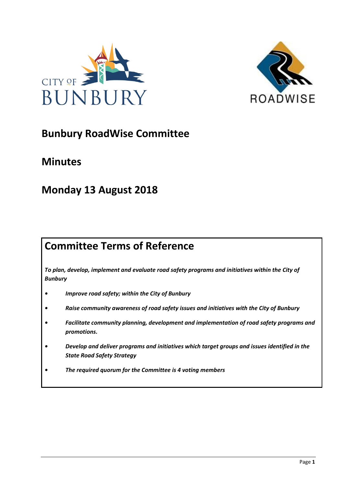



# **Bunbury RoadWise Committee**

# **Minutes**

# **Monday 13 August 2018**

# **Committee Terms of Reference**

*To plan, develop, implement and evaluate road safety programs and initiatives within the City of Bunbury*

- *• Improve road safety; within the City of Bunbury*
- *• Raise community awareness of road safety issues and initiatives with the City of Bunbury*
- *• Facilitate community planning, development and implementation of road safety programs and promotions.*
- *• Develop and deliver programs and initiatives which target groups and issues identified in the State Road Safety Strategy*
- *• The required quorum for the Committee is 4 voting members*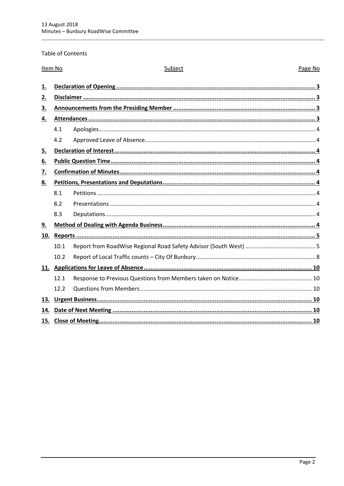## Table of Contents

| Item No   |      | Subject | Page No |
|-----------|------|---------|---------|
| 1.        |      |         |         |
| 2.        |      |         |         |
| 3.        |      |         |         |
| 4.        |      |         |         |
|           | 4.1  |         |         |
|           | 4.2  |         |         |
| <u>5.</u> |      |         |         |
| <u>6.</u> |      |         |         |
| 7.        |      |         |         |
| 8.        |      |         |         |
|           | 8.1  |         |         |
|           | 8.2  |         |         |
|           | 8.3  |         |         |
| 9.        |      |         |         |
| 10.       |      |         |         |
|           | 10.1 |         |         |
|           | 10.2 |         |         |
|           |      |         |         |
|           | 12.1 |         |         |
|           | 12.2 |         |         |
| 13.       |      |         |         |
| 14.       |      |         |         |
| 15.       |      |         |         |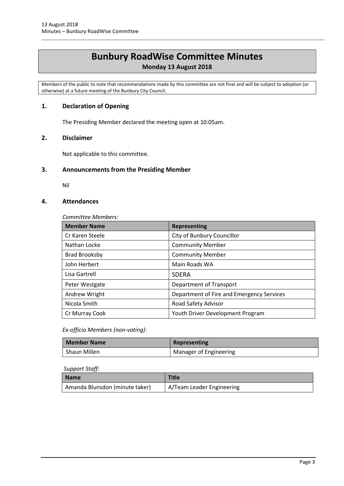# **Bunbury RoadWise Committee Minutes**

# **Monday 13 August 2018**

Members of the public to note that recommendations made by this committee are not final and will be subject to adoption (or otherwise) at a future meeting of the Bunbury City Council.

# <span id="page-2-0"></span>**1. Declaration of Opening**

The Presiding Member declared the meeting open at 10:05am.

## <span id="page-2-1"></span>**2. Disclaimer**

Not applicable to this committee.

# <span id="page-2-2"></span>**3. Announcements from the Presiding Member**

Nil

# <span id="page-2-3"></span>**4. Attendances**

*Committee Members:*

| <b>Member Name</b>   | <b>Representing</b>                       |
|----------------------|-------------------------------------------|
| Cr Karen Steele      | City of Bunbury Councillor                |
| Nathan Locke         | <b>Community Member</b>                   |
| <b>Brad Brooksby</b> | <b>Community Member</b>                   |
| John Herbert         | Main Roads WA                             |
| Lisa Gartrell        | <b>SDFRA</b>                              |
| Peter Westgate       | Department of Transport                   |
| Andrew Wright        | Department of Fire and Emergency Services |
| Nicola Smith         | Road Safety Advisor                       |
| Cr Murray Cook       | Youth Driver Development Program          |

*Ex-officio Members (non-voting):*

| Member Name  | Representing           |
|--------------|------------------------|
| Shaun Millen | Manager of Engineering |

#### *Support Staff:*

| Name                           | <b>Title</b>              |
|--------------------------------|---------------------------|
| Amanda Blunsdon (minute taker) | A/Team Leader Engineering |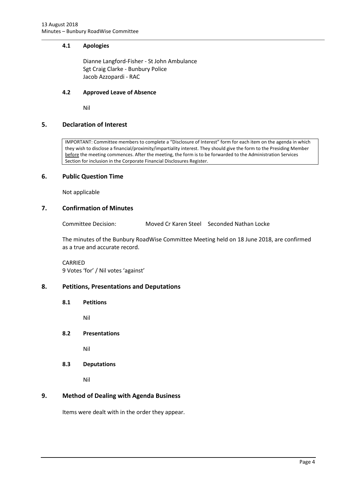#### <span id="page-3-0"></span>**4.1 Apologies**

Dianne Langford-Fisher - St John Ambulance Sgt Craig Clarke - Bunbury Police Jacob Azzopardi - RAC

#### <span id="page-3-1"></span>**4.2 Approved Leave of Absence**

Nil

## <span id="page-3-2"></span>**5. Declaration of Interest**

IMPORTANT: Committee members to complete a "Disclosure of Interest" form for each item on the agenda in which they wish to disclose a financial/proximity/impartiality interest. They should give the form to the Presiding Member before the meeting commences. After the meeting, the form is to be forwarded to the Administration Services Section for inclusion in the Corporate Financial Disclosures Register.

## <span id="page-3-3"></span>**6. Public Question Time**

Not applicable

# <span id="page-3-4"></span>**7. Confirmation of Minutes**

Committee Decision: Moved Cr Karen Steel Seconded Nathan Locke

The minutes of the Bunbury RoadWise Committee Meeting held on 18 June 2018, are confirmed as a true and accurate record.

CARRIED 9 Votes 'for' / Nil votes 'against'

#### <span id="page-3-6"></span><span id="page-3-5"></span>**8. Petitions, Presentations and Deputations**

**8.1 Petitions**

Nil

<span id="page-3-7"></span>**8.2 Presentations**

Nil

<span id="page-3-8"></span>**8.3 Deputations**

Nil

# <span id="page-3-9"></span>**9. Method of Dealing with Agenda Business**

Items were dealt with in the order they appear.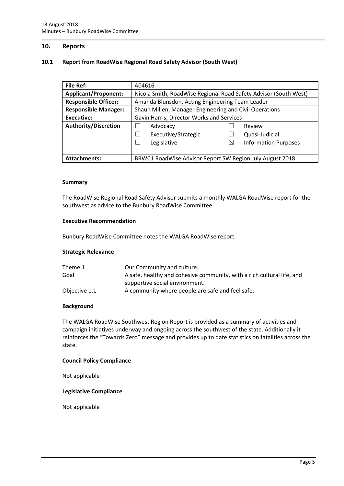#### <span id="page-4-0"></span>**10. Reports**

#### <span id="page-4-1"></span>**10.1 Report from RoadWise Regional Road Safety Advisor (South West)**

| <b>File Ref:</b>            | A04616                                                           |                                            |  |
|-----------------------------|------------------------------------------------------------------|--------------------------------------------|--|
| <b>Applicant/Proponent:</b> | Nicola Smith, RoadWise Regional Road Safety Advisor (South West) |                                            |  |
| <b>Responsible Officer:</b> | Amanda Blunsdon, Acting Engineering Team Leader                  |                                            |  |
| <b>Responsible Manager:</b> | Shaun Millen, Manager Engineering and Civil Operations           |                                            |  |
| Executive:                  | Gavin Harris, Director Works and Services                        |                                            |  |
| <b>Authority/Discretion</b> | Advocacy                                                         | Review                                     |  |
|                             | Executive/Strategic                                              | Quasi-Judicial                             |  |
|                             | Legislative                                                      | $\boxtimes$<br><b>Information Purposes</b> |  |
|                             |                                                                  |                                            |  |
| <b>Attachments:</b>         | BRWC1 RoadWise Advisor Report SW Region July August 2018         |                                            |  |

#### **Summary**

The RoadWise Regional Road Safety Advisor submits a monthly WALGA RoadWise report for the southwest as advice to the Bunbury RoadWise Committee.

#### **Executive Recommendation**

Bunbury RoadWise Committee notes the WALGA RoadWise report.

#### **Strategic Relevance**

| Theme 1       | Our Community and culture.                                             |
|---------------|------------------------------------------------------------------------|
| Goal          | A safe, healthy and cohesive community, with a rich cultural life, and |
|               | supportive social environment.                                         |
| Objective 1.1 | A community where people are safe and feel safe.                       |

#### **Background**

The WALGA RoadWise Southwest Region Report is provided as a summary of activities and campaign initiatives underway and ongoing across the southwest of the state. Additionally it reinforces the "Towards Zero" message and provides up to date statistics on fatalities across the state.

#### **Council Policy Compliance**

Not applicable

#### **Legislative Compliance**

Not applicable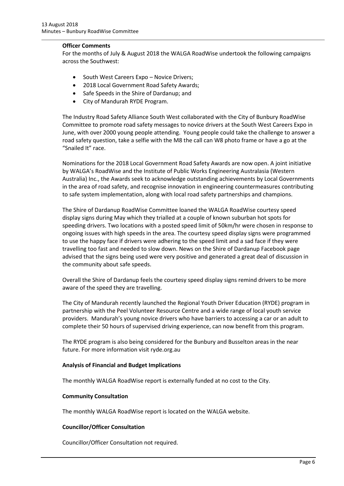#### **Officer Comments**

For the months of July & August 2018 the WALGA RoadWise undertook the following campaigns across the Southwest:

- South West Careers Expo Novice Drivers;
- 2018 Local Government Road Safety Awards;
- Safe Speeds in the Shire of Dardanup; and
- City of Mandurah RYDE Program.

The Industry Road Safety Alliance South West collaborated with the City of Bunbury RoadWise Committee to promote road safety messages to novice drivers at the South West Careers Expo in June, with over 2000 young people attending. Young people could take the challenge to answer a road safety question, take a selfie with the M8 the call can W8 photo frame or have a go at the "Snailed It" race.

Nominations for the 2018 Local Government Road Safety Awards are now open. A joint initiative by WALGA's RoadWise and the Institute of Public Works Engineering Australasia (Western Australia) Inc., the Awards seek to acknowledge outstanding achievements by Local Governments in the area of road safety, and recognise innovation in engineering countermeasures contributing to safe system implementation, along with local road safety partnerships and champions.

The Shire of Dardanup RoadWise Committee loaned the WALGA RoadWise courtesy speed display signs during May which they trialled at a couple of known suburban hot spots for speeding drivers. Two locations with a posted speed limit of 50km/hr were chosen in response to ongoing issues with high speeds in the area. The courtesy speed display signs were programmed to use the happy face if drivers were adhering to the speed limit and a sad face if they were travelling too fast and needed to slow down. News on the Shire of Dardanup Facebook page advised that the signs being used were very positive and generated a great deal of discussion in the community about safe speeds.

Overall the Shire of Dardanup feels the courtesy speed display signs remind drivers to be more aware of the speed they are travelling.

The City of Mandurah recently launched the Regional Youth Driver Education (RYDE) program in partnership with the Peel Volunteer Resource Centre and a wide range of local youth service providers. Mandurah's young novice drivers who have barriers to accessing a car or an adult to complete their 50 hours of supervised driving experience, can now benefit from this program.

The RYDE program is also being considered for the Bunbury and Busselton areas in the near future. For more information visit ryde.org.au

#### **Analysis of Financial and Budget Implications**

The monthly WALGA RoadWise report is externally funded at no cost to the City.

#### **Community Consultation**

The monthly WALGA RoadWise report is located on the WALGA website.

#### **Councillor/Officer Consultation**

Councillor/Officer Consultation not required.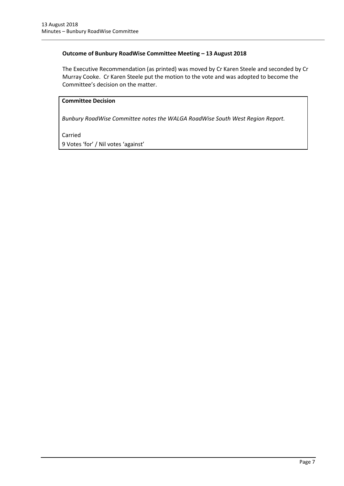## **Outcome of Bunbury RoadWise Committee Meeting – 13 August 2018**

The Executive Recommendation (as printed) was moved by Cr Karen Steele and seconded by Cr Murray Cooke. Cr Karen Steele put the motion to the vote and was adopted to become the Committee's decision on the matter.

# **Committee Decision**

*Bunbury RoadWise Committee notes the WALGA RoadWise South West Region Report.* 

Carried

9 Votes 'for' / Nil votes 'against'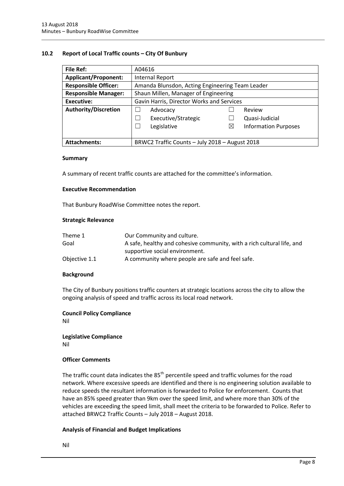#### <span id="page-7-0"></span>**10.2 Report of Local Traffic counts – City Of Bunbury**

| <b>File Ref:</b>            | A04616                                          |   |                             |
|-----------------------------|-------------------------------------------------|---|-----------------------------|
| <b>Applicant/Proponent:</b> | <b>Internal Report</b>                          |   |                             |
| <b>Responsible Officer:</b> | Amanda Blunsdon, Acting Engineering Team Leader |   |                             |
| <b>Responsible Manager:</b> | Shaun Millen, Manager of Engineering            |   |                             |
| <b>Executive:</b>           | Gavin Harris, Director Works and Services       |   |                             |
| <b>Authority/Discretion</b> | Advocacy                                        |   | Review                      |
|                             | Executive/Strategic                             |   | Quasi-Judicial              |
|                             | Legislative                                     | ⊠ | <b>Information Purposes</b> |
|                             |                                                 |   |                             |
| <b>Attachments:</b>         | BRWC2 Traffic Counts - July 2018 - August 2018  |   |                             |

#### **Summary**

A summary of recent traffic counts are attached for the committee's information.

#### **Executive Recommendation**

That Bunbury RoadWise Committee notes the report.

#### **Strategic Relevance**

| Theme 1       | Our Community and culture.                                             |
|---------------|------------------------------------------------------------------------|
| Goal          | A safe, healthy and cohesive community, with a rich cultural life, and |
|               | supportive social environment.                                         |
| Objective 1.1 | A community where people are safe and feel safe.                       |

#### **Background**

The City of Bunbury positions traffic counters at strategic locations across the city to allow the ongoing analysis of speed and traffic across its local road network.

#### **Council Policy Compliance**

Nil

**Legislative Compliance** Nil

#### **Officer Comments**

The traffic count data indicates the  $85<sup>th</sup>$  percentile speed and traffic volumes for the road network. Where excessive speeds are identified and there is no engineering solution available to reduce speeds the resultant information is forwarded to Police for enforcement. Counts that have an 85% speed greater than 9km over the speed limit, and where more than 30% of the vehicles are exceeding the speed limit, shall meet the criteria to be forwarded to Police. Refer to attached BRWC2 Traffic Counts – July 2018 – August 2018.

#### **Analysis of Financial and Budget Implications**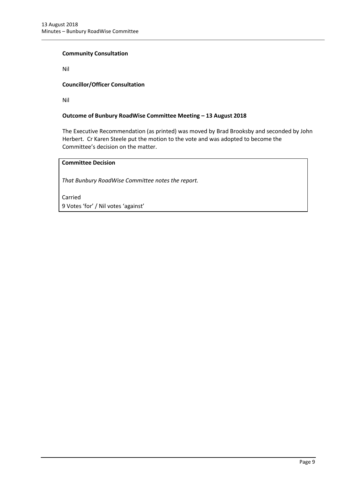#### **Community Consultation**

Nil

## **Councillor/Officer Consultation**

Nil

## **Outcome of Bunbury RoadWise Committee Meeting – 13 August 2018**

The Executive Recommendation (as printed) was moved by Brad Brooksby and seconded by John Herbert. Cr Karen Steele put the motion to the vote and was adopted to become the Committee's decision on the matter.

# **Committee Decision**

*That Bunbury RoadWise Committee notes the report.*

Carried 9 Votes 'for' / Nil votes 'against'